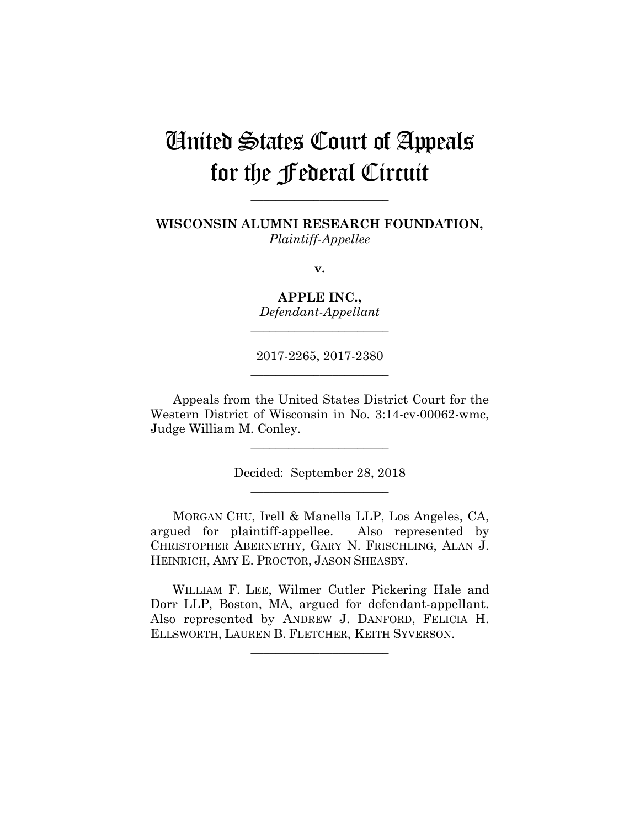# United States Court of Appeals for the Federal Circuit

**WISCONSIN ALUMNI RESEARCH FOUNDATION,** *Plaintiff-Appellee*

**\_\_\_\_\_\_\_\_\_\_\_\_\_\_\_\_\_\_\_\_\_\_** 

**v.**

**APPLE INC.,** *Defendant-Appellant*

**\_\_\_\_\_\_\_\_\_\_\_\_\_\_\_\_\_\_\_\_\_\_** 

2017-2265, 2017-2380 **\_\_\_\_\_\_\_\_\_\_\_\_\_\_\_\_\_\_\_\_\_\_** 

Appeals from the United States District Court for the Western District of Wisconsin in No. 3:14-cv-00062-wmc, Judge William M. Conley.

> Decided: September 28, 2018 **\_\_\_\_\_\_\_\_\_\_\_\_\_\_\_\_\_\_\_\_\_\_**

**\_\_\_\_\_\_\_\_\_\_\_\_\_\_\_\_\_\_\_\_\_\_** 

MORGAN CHU, Irell & Manella LLP, Los Angeles, CA, argued for plaintiff-appellee. Also represented by CHRISTOPHER ABERNETHY, GARY N. FRISCHLING, ALAN J. HEINRICH, AMY E. PROCTOR, JASON SHEASBY.

 WILLIAM F. LEE, Wilmer Cutler Pickering Hale and Dorr LLP, Boston, MA, argued for defendant-appellant. Also represented by ANDREW J. DANFORD, FELICIA H. ELLSWORTH, LAUREN B. FLETCHER, KEITH SYVERSON.

 $\overline{\phantom{a}}$  , where  $\overline{\phantom{a}}$  , where  $\overline{\phantom{a}}$  , where  $\overline{\phantom{a}}$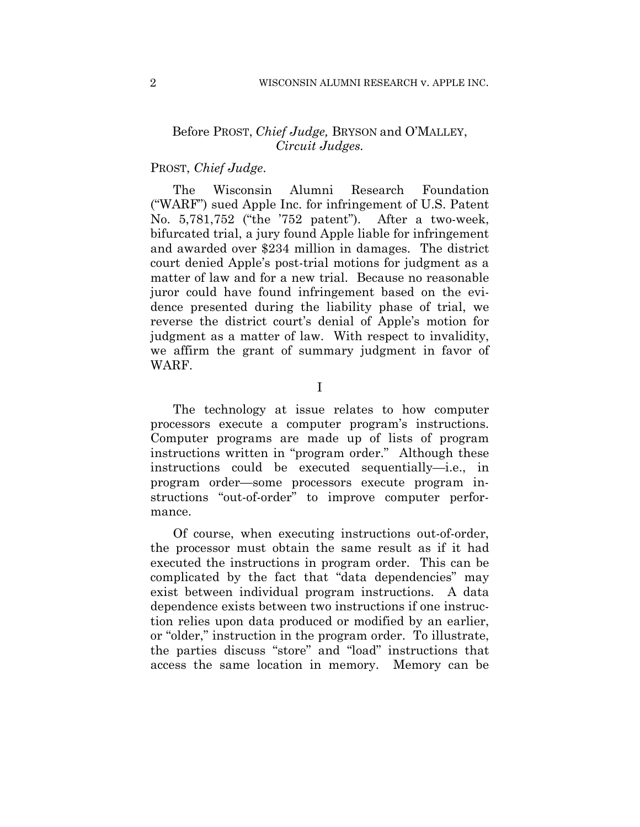# Before PROST, *Chief Judge,* BRYSON and O'MALLEY, *Circuit Judges.*

# PROST, *Chief Judge*.

The Wisconsin Alumni Research Foundation ("WARF") sued Apple Inc. for infringement of U.S. Patent No. 5,781,752 ("the '752 patent"). After a two-week, bifurcated trial, a jury found Apple liable for infringement and awarded over \$234 million in damages. The district court denied Apple's post-trial motions for judgment as a matter of law and for a new trial. Because no reasonable juror could have found infringement based on the evidence presented during the liability phase of trial, we reverse the district court's denial of Apple's motion for judgment as a matter of law. With respect to invalidity, we affirm the grant of summary judgment in favor of WARF.

I

The technology at issue relates to how computer processors execute a computer program's instructions. Computer programs are made up of lists of program instructions written in "program order." Although these instructions could be executed sequentially—i.e., in program order—some processors execute program instructions "out-of-order" to improve computer performance.

Of course, when executing instructions out-of-order, the processor must obtain the same result as if it had executed the instructions in program order. This can be complicated by the fact that "data dependencies" may exist between individual program instructions. A data dependence exists between two instructions if one instruction relies upon data produced or modified by an earlier, or "older," instruction in the program order. To illustrate, the parties discuss "store" and "load" instructions that access the same location in memory. Memory can be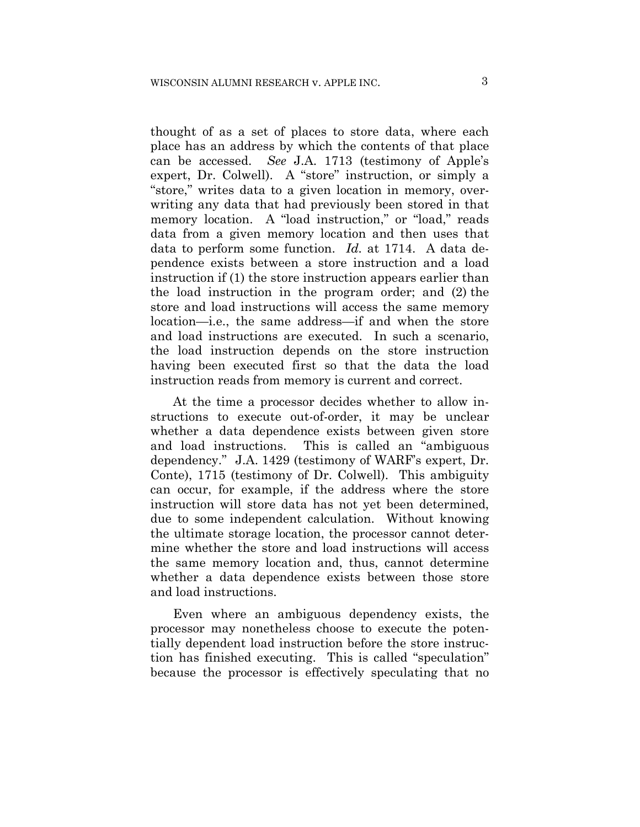thought of as a set of places to store data, where each place has an address by which the contents of that place can be accessed. *See* J.A. 1713 (testimony of Apple's expert, Dr. Colwell). A "store" instruction, or simply a "store," writes data to a given location in memory, overwriting any data that had previously been stored in that memory location. A "load instruction," or "load," reads data from a given memory location and then uses that data to perform some function. *Id.* at 1714. A data dependence exists between a store instruction and a load instruction if (1) the store instruction appears earlier than the load instruction in the program order; and (2) the store and load instructions will access the same memory location—i.e., the same address—if and when the store and load instructions are executed. In such a scenario, the load instruction depends on the store instruction having been executed first so that the data the load instruction reads from memory is current and correct.

At the time a processor decides whether to allow instructions to execute out-of-order, it may be unclear whether a data dependence exists between given store and load instructions. This is called an "ambiguous dependency." J.A. 1429 (testimony of WARF's expert, Dr. Conte), 1715 (testimony of Dr. Colwell). This ambiguity can occur, for example, if the address where the store instruction will store data has not yet been determined, due to some independent calculation. Without knowing the ultimate storage location, the processor cannot determine whether the store and load instructions will access the same memory location and, thus, cannot determine whether a data dependence exists between those store and load instructions.

Even where an ambiguous dependency exists, the processor may nonetheless choose to execute the potentially dependent load instruction before the store instruction has finished executing. This is called "speculation" because the processor is effectively speculating that no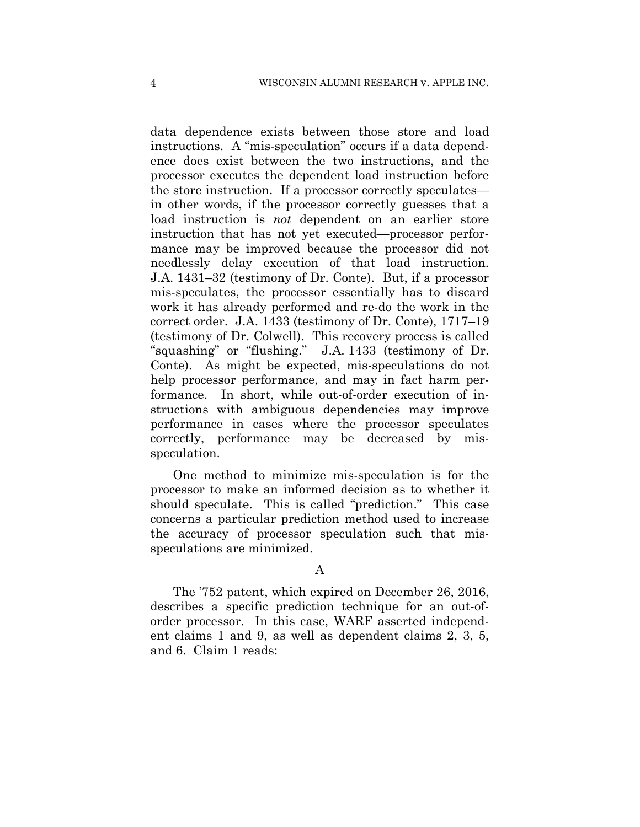data dependence exists between those store and load instructions. A "mis-speculation" occurs if a data dependence does exist between the two instructions, and the processor executes the dependent load instruction before the store instruction. If a processor correctly speculates in other words, if the processor correctly guesses that a load instruction is *not* dependent on an earlier store instruction that has not yet executed—processor performance may be improved because the processor did not needlessly delay execution of that load instruction. J.A. 1431–32 (testimony of Dr. Conte). But, if a processor mis-speculates, the processor essentially has to discard work it has already performed and re-do the work in the correct order. J.A. 1433 (testimony of Dr. Conte), 1717–19 (testimony of Dr. Colwell). This recovery process is called "squashing" or "flushing." J.A. 1433 (testimony of Dr. Conte). As might be expected, mis-speculations do not help processor performance, and may in fact harm performance. In short, while out-of-order execution of instructions with ambiguous dependencies may improve performance in cases where the processor speculates correctly, performance may be decreased by misspeculation.

One method to minimize mis-speculation is for the processor to make an informed decision as to whether it should speculate. This is called "prediction." This case concerns a particular prediction method used to increase the accuracy of processor speculation such that misspeculations are minimized.

### A

The '752 patent, which expired on December 26, 2016, describes a specific prediction technique for an out-oforder processor. In this case, WARF asserted independent claims 1 and 9, as well as dependent claims 2, 3, 5, and 6. Claim 1 reads: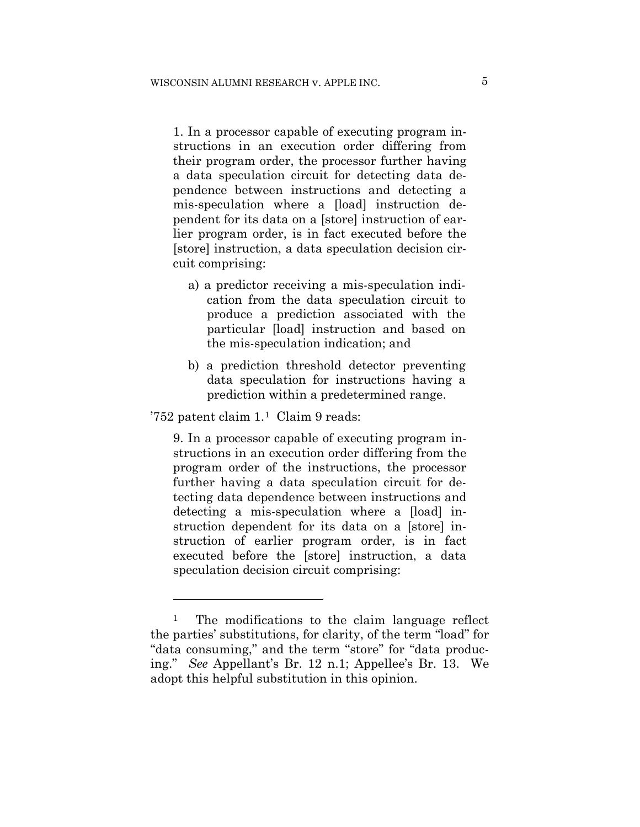1. In a processor capable of executing program instructions in an execution order differing from their program order, the processor further having a data speculation circuit for detecting data dependence between instructions and detecting a mis-speculation where a [load] instruction dependent for its data on a [store] instruction of earlier program order, is in fact executed before the [store] instruction, a data speculation decision circuit comprising:

- a) a predictor receiving a mis-speculation indication from the data speculation circuit to produce a prediction associated with the particular [load] instruction and based on the mis-speculation indication; and
- b) a prediction threshold detector preventing data speculation for instructions having a prediction within a predetermined range.

'752 patent claim 1.1 Claim 9 reads:

1

9. In a processor capable of executing program instructions in an execution order differing from the program order of the instructions, the processor further having a data speculation circuit for detecting data dependence between instructions and detecting a mis-speculation where a [load] instruction dependent for its data on a [store] instruction of earlier program order, is in fact executed before the [store] instruction, a data speculation decision circuit comprising:

<sup>&</sup>lt;sup>1</sup> The modifications to the claim language reflect the parties' substitutions, for clarity, of the term "load" for "data consuming," and the term "store" for "data producing." *See* Appellant's Br. 12 n.1; Appellee's Br. 13. We adopt this helpful substitution in this opinion.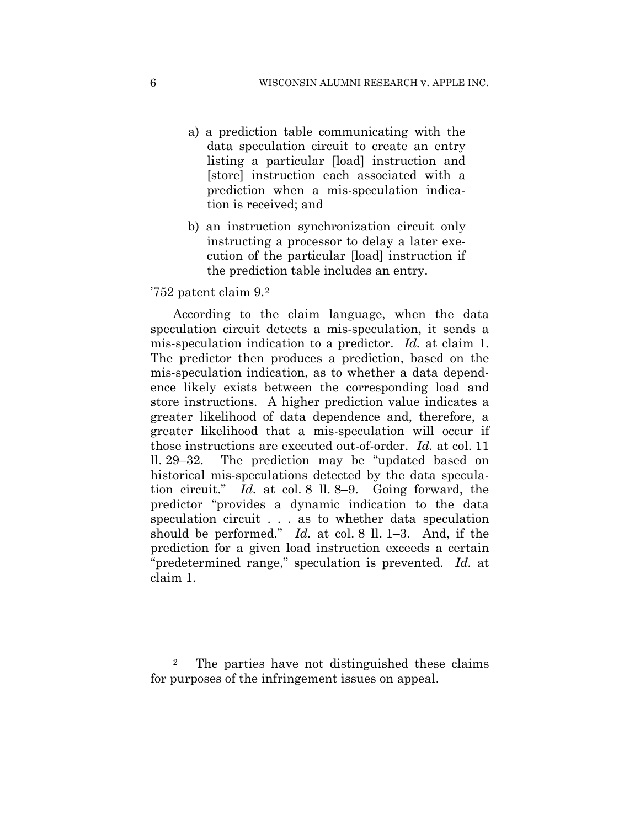- a) a prediction table communicating with the data speculation circuit to create an entry listing a particular [load] instruction and [store] instruction each associated with a prediction when a mis-speculation indication is received; and
- b) an instruction synchronization circuit only instructing a processor to delay a later execution of the particular [load] instruction if the prediction table includes an entry.

## '752 patent claim 9.2

1

According to the claim language, when the data speculation circuit detects a mis-speculation, it sends a mis-speculation indication to a predictor. *Id.* at claim 1. The predictor then produces a prediction, based on the mis-speculation indication, as to whether a data dependence likely exists between the corresponding load and store instructions. A higher prediction value indicates a greater likelihood of data dependence and, therefore, a greater likelihood that a mis-speculation will occur if those instructions are executed out-of-order. *Id.* at col. 11 ll. 29–32. The prediction may be "updated based on historical mis-speculations detected by the data speculation circuit." *Id.* at col. 8 ll. 8–9. Going forward, the predictor "provides a dynamic indication to the data speculation circuit . . . as to whether data speculation should be performed." *Id.* at col. 8 ll. 1–3. And, if the prediction for a given load instruction exceeds a certain "predetermined range," speculation is prevented. *Id.* at claim 1.

<sup>2</sup> The parties have not distinguished these claims for purposes of the infringement issues on appeal.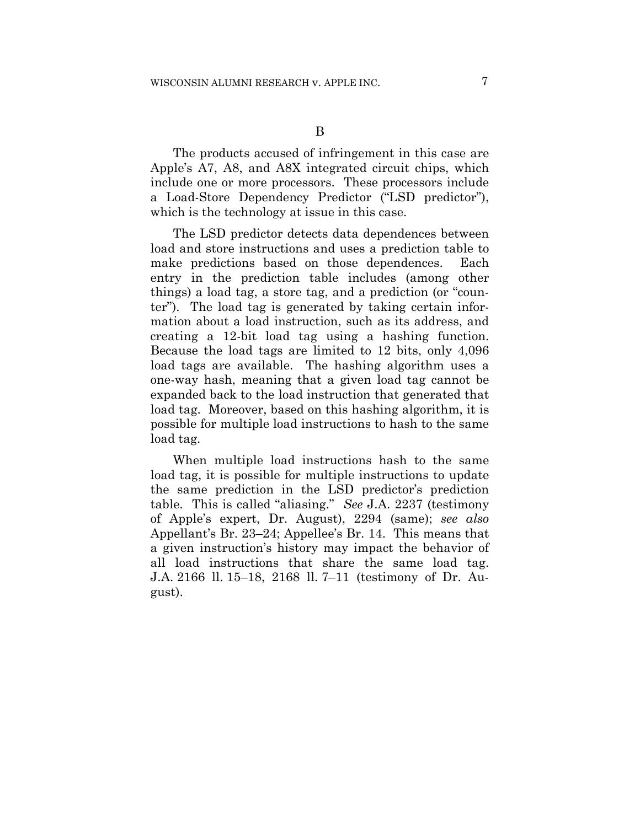The products accused of infringement in this case are Apple's A7, A8, and A8X integrated circuit chips, which include one or more processors. These processors include a Load-Store Dependency Predictor ("LSD predictor"), which is the technology at issue in this case.

The LSD predictor detects data dependences between load and store instructions and uses a prediction table to make predictions based on those dependences. Each entry in the prediction table includes (among other things) a load tag, a store tag, and a prediction (or "counter"). The load tag is generated by taking certain information about a load instruction, such as its address, and creating a 12-bit load tag using a hashing function. Because the load tags are limited to 12 bits, only 4,096 load tags are available. The hashing algorithm uses a one-way hash, meaning that a given load tag cannot be expanded back to the load instruction that generated that load tag. Moreover, based on this hashing algorithm, it is possible for multiple load instructions to hash to the same load tag.

When multiple load instructions hash to the same load tag, it is possible for multiple instructions to update the same prediction in the LSD predictor's prediction table. This is called "aliasing." *See* J.A. 2237 (testimony of Apple's expert, Dr. August), 2294 (same); *see also*  Appellant's Br. 23–24; Appellee's Br. 14. This means that a given instruction's history may impact the behavior of all load instructions that share the same load tag. J.A. 2166 ll. 15–18, 2168 ll. 7–11 (testimony of Dr. August).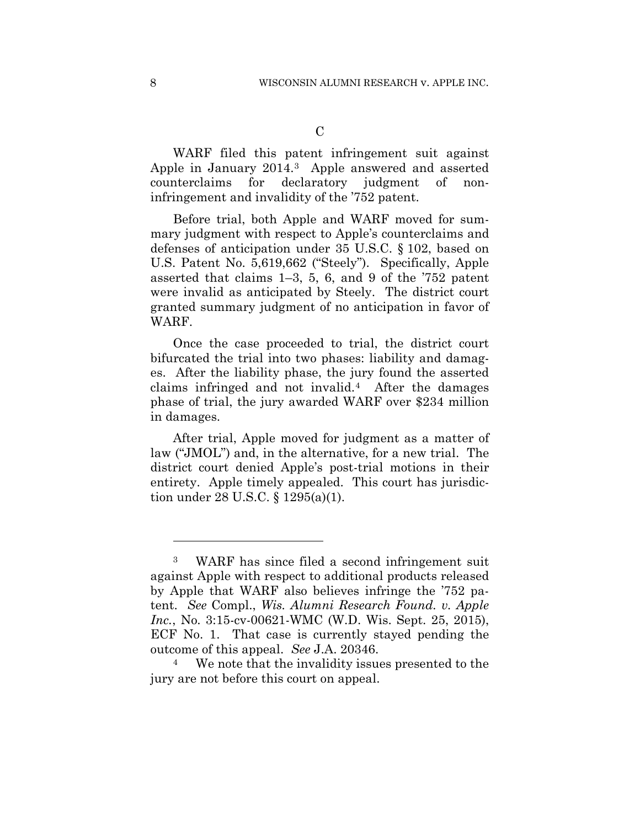WARF filed this patent infringement suit against Apple in January 2014.3 Apple answered and asserted counterclaims for declaratory judgment of noninfringement and invalidity of the '752 patent.

 Before trial, both Apple and WARF moved for summary judgment with respect to Apple's counterclaims and defenses of anticipation under 35 U.S.C. § 102, based on U.S. Patent No. 5,619,662 ("Steely"). Specifically, Apple asserted that claims 1–3, 5, 6, and 9 of the '752 patent were invalid as anticipated by Steely. The district court granted summary judgment of no anticipation in favor of WARF.

Once the case proceeded to trial, the district court bifurcated the trial into two phases: liability and damages. After the liability phase, the jury found the asserted claims infringed and not invalid.4 After the damages phase of trial, the jury awarded WARF over \$234 million in damages.

After trial, Apple moved for judgment as a matter of law ("JMOL") and, in the alternative, for a new trial. The district court denied Apple's post-trial motions in their entirety. Apple timely appealed. This court has jurisdiction under 28 U.S.C. § 1295(a)(1).

1

<sup>3</sup> WARF has since filed a second infringement suit against Apple with respect to additional products released by Apple that WARF also believes infringe the '752 patent. *See* Compl., *Wis. Alumni Research Found. v. Apple Inc.*, No. 3:15-cv-00621-WMC (W.D. Wis. Sept. 25, 2015), ECF No. 1. That case is currently stayed pending the outcome of this appeal. *See* J.A. 20346. 4 We note that the invalidity issues presented to the

jury are not before this court on appeal.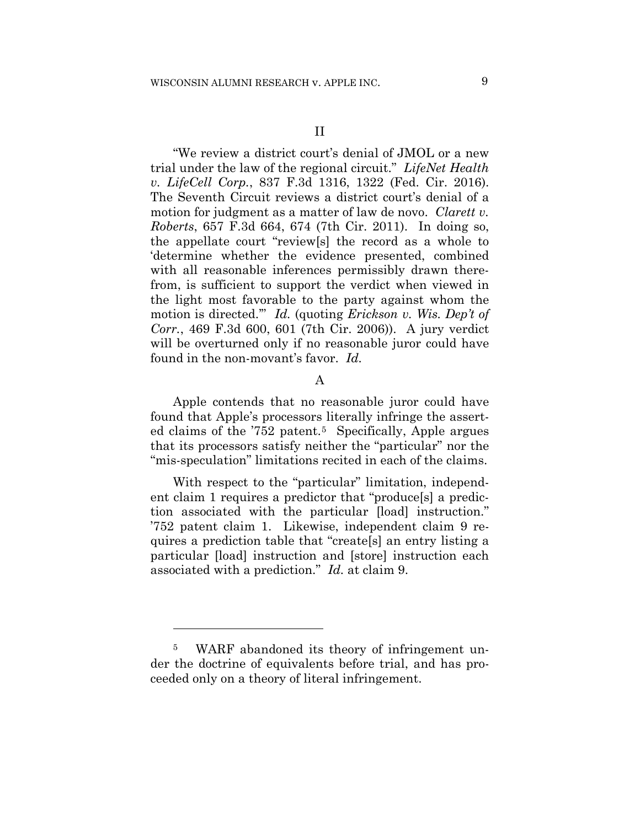"We review a district court's denial of JMOL or a new trial under the law of the regional circuit." *LifeNet Health v. LifeCell Corp.*, 837 F.3d 1316, 1322 (Fed. Cir. 2016). The Seventh Circuit reviews a district court's denial of a motion for judgment as a matter of law de novo. *Clarett v. Roberts*, 657 F.3d 664, 674 (7th Cir. 2011). In doing so, the appellate court "review[s] the record as a whole to 'determine whether the evidence presented, combined with all reasonable inferences permissibly drawn therefrom, is sufficient to support the verdict when viewed in the light most favorable to the party against whom the motion is directed.'" *Id.* (quoting *Erickson v. Wis. Dep't of Corr.*, 469 F.3d 600, 601 (7th Cir. 2006)). A jury verdict will be overturned only if no reasonable juror could have found in the non-movant's favor. *Id.*

## A

Apple contends that no reasonable juror could have found that Apple's processors literally infringe the asserted claims of the '752 patent.<sup>5</sup> Specifically, Apple argues that its processors satisfy neither the "particular" nor the "mis-speculation" limitations recited in each of the claims.

With respect to the "particular" limitation, independent claim 1 requires a predictor that "produce[s] a prediction associated with the particular [load] instruction." '752 patent claim 1. Likewise, independent claim 9 requires a prediction table that "create[s] an entry listing a particular [load] instruction and [store] instruction each associated with a prediction." *Id.* at claim 9.

1

<sup>5</sup> WARF abandoned its theory of infringement under the doctrine of equivalents before trial, and has proceeded only on a theory of literal infringement.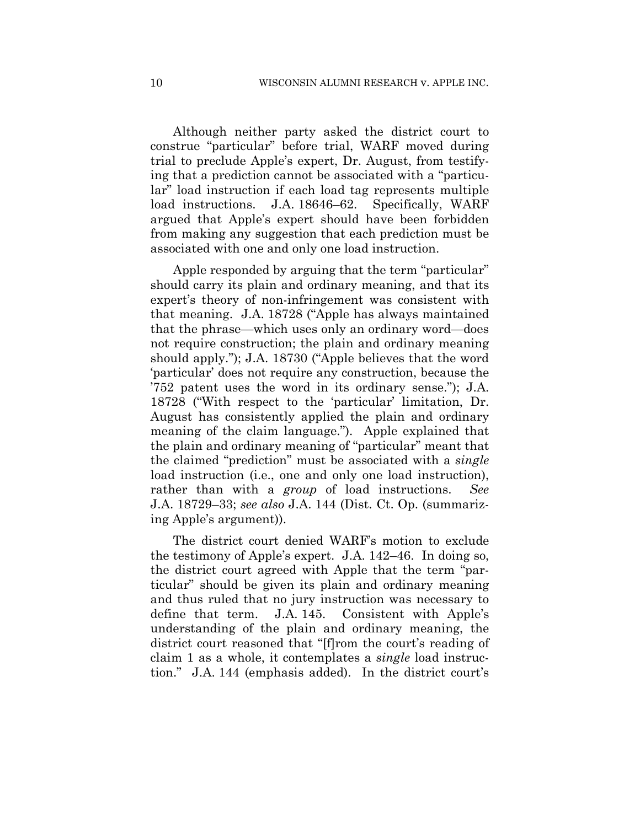Although neither party asked the district court to construe "particular" before trial, WARF moved during trial to preclude Apple's expert, Dr. August, from testifying that a prediction cannot be associated with a "particular" load instruction if each load tag represents multiple load instructions. J.A. 18646–62. Specifically, WARF argued that Apple's expert should have been forbidden from making any suggestion that each prediction must be associated with one and only one load instruction.

Apple responded by arguing that the term "particular" should carry its plain and ordinary meaning, and that its expert's theory of non-infringement was consistent with that meaning. J.A. 18728 ("Apple has always maintained that the phrase—which uses only an ordinary word—does not require construction; the plain and ordinary meaning should apply."); J.A. 18730 ("Apple believes that the word 'particular' does not require any construction, because the '752 patent uses the word in its ordinary sense."); J.A. 18728 ("With respect to the 'particular' limitation, Dr. August has consistently applied the plain and ordinary meaning of the claim language."). Apple explained that the plain and ordinary meaning of "particular" meant that the claimed "prediction" must be associated with a *single* load instruction (i.e., one and only one load instruction), rather than with a *group* of load instructions. *See*  J.A. 18729–33; *see also* J.A. 144 (Dist. Ct. Op. (summarizing Apple's argument)).

The district court denied WARF's motion to exclude the testimony of Apple's expert. J.A. 142–46. In doing so, the district court agreed with Apple that the term "particular" should be given its plain and ordinary meaning and thus ruled that no jury instruction was necessary to define that term. J.A. 145. Consistent with Apple's understanding of the plain and ordinary meaning, the district court reasoned that "[f]rom the court's reading of claim 1 as a whole, it contemplates a *single* load instruction." J.A. 144 (emphasis added). In the district court's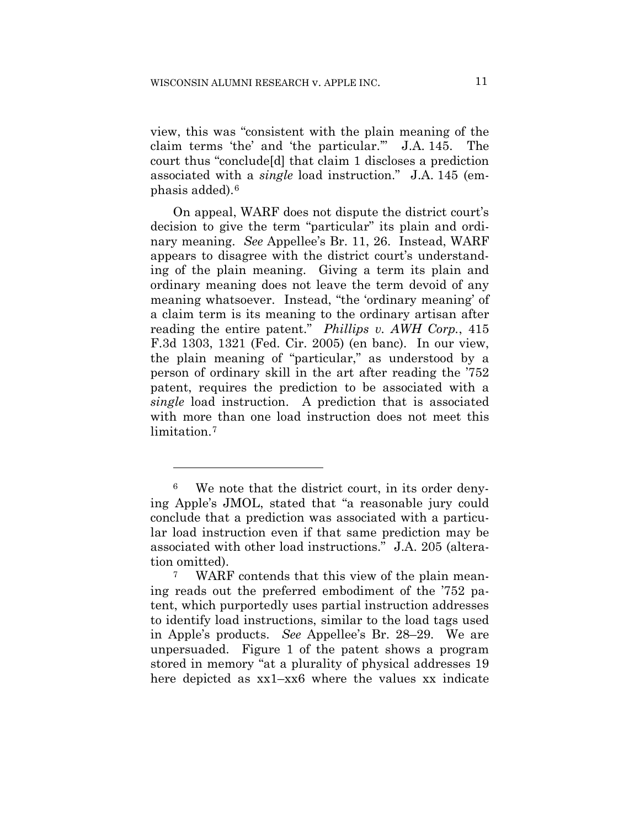view, this was "consistent with the plain meaning of the claim terms 'the' and 'the particular.'" J.A. 145. The court thus "conclude[d] that claim 1 discloses a prediction associated with a *single* load instruction." J.A. 145 (emphasis added).6

On appeal, WARF does not dispute the district court's decision to give the term "particular" its plain and ordinary meaning. *See* Appellee's Br. 11, 26. Instead, WARF appears to disagree with the district court's understanding of the plain meaning. Giving a term its plain and ordinary meaning does not leave the term devoid of any meaning whatsoever. Instead, "the 'ordinary meaning' of a claim term is its meaning to the ordinary artisan after reading the entire patent." *Phillips v. AWH Corp.*, 415 F.3d 1303, 1321 (Fed. Cir. 2005) (en banc). In our view, the plain meaning of "particular," as understood by a person of ordinary skill in the art after reading the '752 patent, requires the prediction to be associated with a *single* load instruction. A prediction that is associated with more than one load instruction does not meet this limitation.<sup>7</sup>

1

<sup>6</sup> We note that the district court, in its order denying Apple's JMOL, stated that "a reasonable jury could conclude that a prediction was associated with a particular load instruction even if that same prediction may be associated with other load instructions." J.A. 205 (alteration omitted).

<sup>7</sup> WARF contends that this view of the plain meaning reads out the preferred embodiment of the '752 patent, which purportedly uses partial instruction addresses to identify load instructions, similar to the load tags used in Apple's products. *See* Appellee's Br. 28–29. We are unpersuaded. Figure 1 of the patent shows a program stored in memory "at a plurality of physical addresses 19 here depicted as xx1–xx6 where the values xx indicate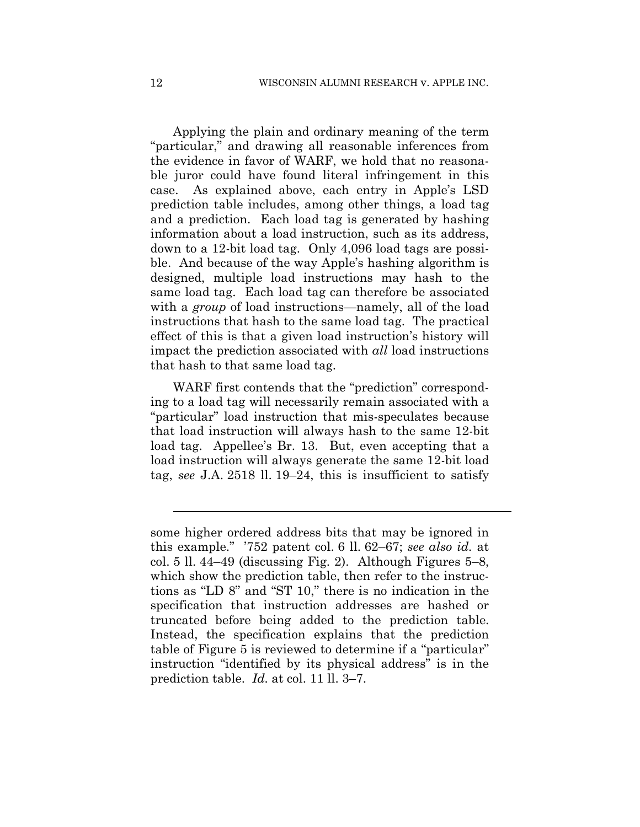Applying the plain and ordinary meaning of the term "particular," and drawing all reasonable inferences from the evidence in favor of WARF, we hold that no reasonable juror could have found literal infringement in this case. As explained above, each entry in Apple's LSD prediction table includes, among other things, a load tag and a prediction. Each load tag is generated by hashing information about a load instruction, such as its address, down to a 12-bit load tag. Only 4,096 load tags are possible. And because of the way Apple's hashing algorithm is designed, multiple load instructions may hash to the same load tag. Each load tag can therefore be associated with a *group* of load instructions—namely, all of the load instructions that hash to the same load tag. The practical effect of this is that a given load instruction's history will impact the prediction associated with *all* load instructions that hash to that same load tag.

WARF first contends that the "prediction" corresponding to a load tag will necessarily remain associated with a "particular" load instruction that mis-speculates because that load instruction will always hash to the same 12-bit load tag. Appellee's Br. 13. But, even accepting that a load instruction will always generate the same 12-bit load tag, *see* J.A. 2518 ll. 19–24, this is insufficient to satisfy

l

some higher ordered address bits that may be ignored in this example." '752 patent col. 6 ll. 62–67; *see also id.* at col. 5 ll. 44–49 (discussing Fig. 2). Although Figures 5–8, which show the prediction table, then refer to the instructions as "LD 8" and "ST 10," there is no indication in the specification that instruction addresses are hashed or truncated before being added to the prediction table. Instead, the specification explains that the prediction table of Figure 5 is reviewed to determine if a "particular" instruction "identified by its physical address" is in the prediction table. *Id.* at col. 11 ll. 3–7.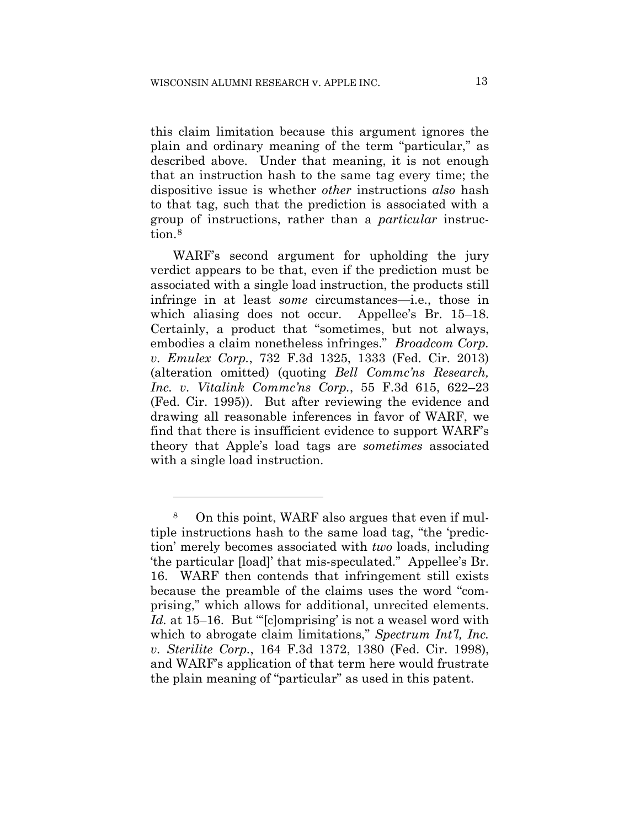this claim limitation because this argument ignores the plain and ordinary meaning of the term "particular," as described above. Under that meaning, it is not enough that an instruction hash to the same tag every time; the dispositive issue is whether *other* instructions *also* hash to that tag, such that the prediction is associated with a group of instructions, rather than a *particular* instruction.<sup>8</sup>

WARF's second argument for upholding the jury verdict appears to be that, even if the prediction must be associated with a single load instruction, the products still infringe in at least *some* circumstances—i.e., those in which aliasing does not occur. Appellee's Br. 15–18. Certainly, a product that "sometimes, but not always, embodies a claim nonetheless infringes." *Broadcom Corp. v. Emulex Corp.*, 732 F.3d 1325, 1333 (Fed. Cir. 2013) (alteration omitted) (quoting *Bell Commc'ns Research, Inc. v. Vitalink Commc'ns Corp.*, 55 F.3d 615, 622–23 (Fed. Cir. 1995)). But after reviewing the evidence and drawing all reasonable inferences in favor of WARF, we find that there is insufficient evidence to support WARF's theory that Apple's load tags are *sometimes* associated with a single load instruction.

1

<sup>8</sup> On this point, WARF also argues that even if multiple instructions hash to the same load tag, "the 'prediction' merely becomes associated with *two* loads, including 'the particular [load]' that mis-speculated." Appellee's Br. 16. WARF then contends that infringement still exists because the preamble of the claims uses the word "comprising," which allows for additional, unrecited elements. *Id.* at 15–16. But "'[c]omprising' is not a weasel word with which to abrogate claim limitations," *Spectrum Int'l, Inc. v. Sterilite Corp.*, 164 F.3d 1372, 1380 (Fed. Cir. 1998), and WARF's application of that term here would frustrate the plain meaning of "particular" as used in this patent.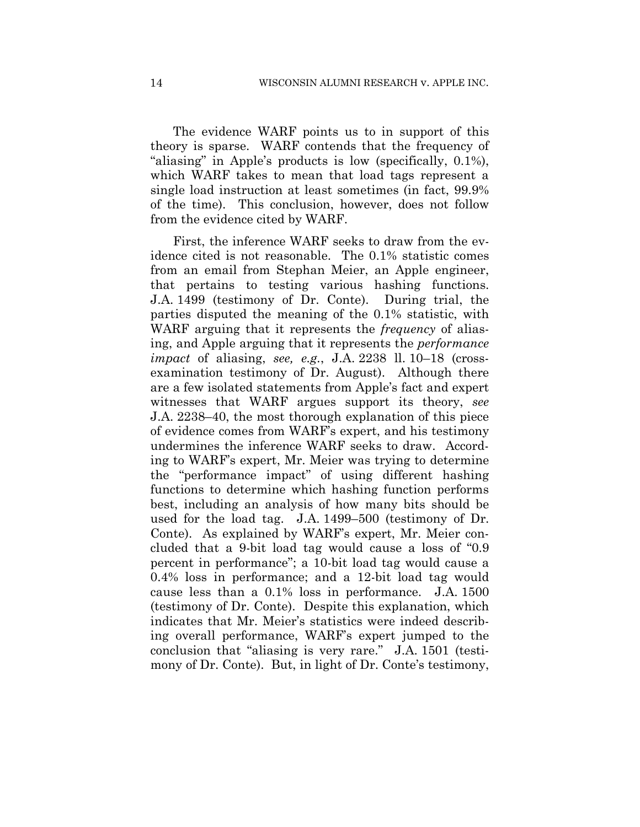The evidence WARF points us to in support of this theory is sparse. WARF contends that the frequency of "aliasing" in Apple's products is low (specifically, 0.1%), which WARF takes to mean that load tags represent a single load instruction at least sometimes (in fact, 99.9% of the time). This conclusion, however, does not follow from the evidence cited by WARF.

First, the inference WARF seeks to draw from the evidence cited is not reasonable. The 0.1% statistic comes from an email from Stephan Meier, an Apple engineer, that pertains to testing various hashing functions. J.A. 1499 (testimony of Dr. Conte). During trial, the parties disputed the meaning of the 0.1% statistic, with WARF arguing that it represents the *frequency* of aliasing, and Apple arguing that it represents the *performance impact* of aliasing, *see, e.g.*, J.A. 2238 ll. 10–18 (crossexamination testimony of Dr. August). Although there are a few isolated statements from Apple's fact and expert witnesses that WARF argues support its theory, *see*  J.A. 2238–40, the most thorough explanation of this piece of evidence comes from WARF's expert, and his testimony undermines the inference WARF seeks to draw. According to WARF's expert, Mr. Meier was trying to determine the "performance impact" of using different hashing functions to determine which hashing function performs best, including an analysis of how many bits should be used for the load tag. J.A. 1499–500 (testimony of Dr. Conte). As explained by WARF's expert, Mr. Meier concluded that a 9-bit load tag would cause a loss of "0.9 percent in performance"; a 10-bit load tag would cause a 0.4% loss in performance; and a 12-bit load tag would cause less than a 0.1% loss in performance. J.A. 1500 (testimony of Dr. Conte). Despite this explanation, which indicates that Mr. Meier's statistics were indeed describing overall performance, WARF's expert jumped to the conclusion that "aliasing is very rare." J.A. 1501 (testimony of Dr. Conte). But, in light of Dr. Conte's testimony,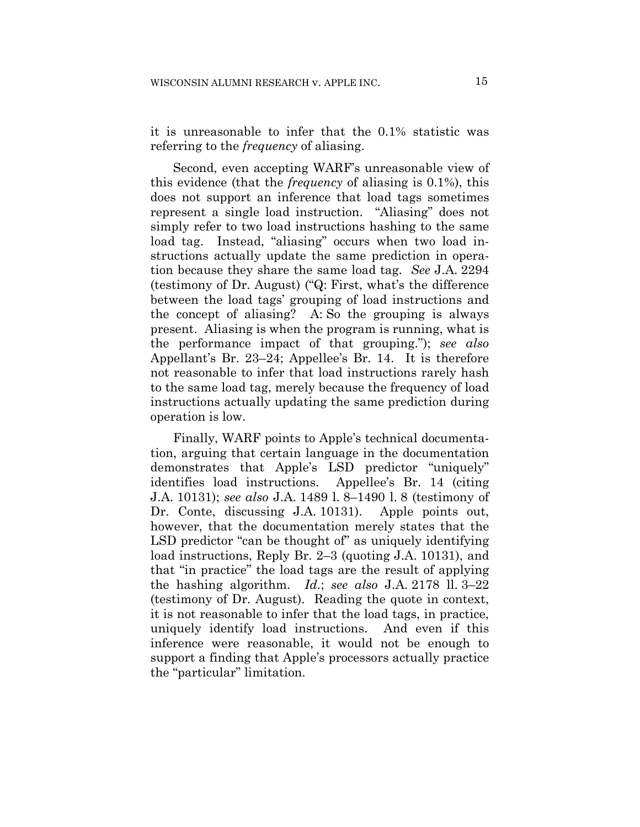it is unreasonable to infer that the 0.1% statistic was referring to the *frequency* of aliasing.

Second, even accepting WARF's unreasonable view of this evidence (that the *frequency* of aliasing is 0.1%), this does not support an inference that load tags sometimes represent a single load instruction. "Aliasing" does not simply refer to two load instructions hashing to the same load tag. Instead, "aliasing" occurs when two load instructions actually update the same prediction in operation because they share the same load tag. *See* J.A. 2294 (testimony of Dr. August) ("Q: First, what's the difference between the load tags' grouping of load instructions and the concept of aliasing? A: So the grouping is always present. Aliasing is when the program is running, what is the performance impact of that grouping."); *see also*  Appellant's Br. 23–24; Appellee's Br. 14. It is therefore not reasonable to infer that load instructions rarely hash to the same load tag, merely because the frequency of load instructions actually updating the same prediction during operation is low.

Finally, WARF points to Apple's technical documentation, arguing that certain language in the documentation demonstrates that Apple's LSD predictor "uniquely" identifies load instructions. Appellee's Br. 14 (citing J.A. 10131); *see also* J.A. 1489 l. 8–1490 l. 8 (testimony of Dr. Conte, discussing J.A. 10131). Apple points out, however, that the documentation merely states that the LSD predictor "can be thought of" as uniquely identifying load instructions, Reply Br. 2–3 (quoting J.A. 10131), and that "in practice" the load tags are the result of applying the hashing algorithm. *Id.*; *see also* J.A. 2178 ll. 3–22 (testimony of Dr. August). Reading the quote in context, it is not reasonable to infer that the load tags, in practice, uniquely identify load instructions. And even if this inference were reasonable, it would not be enough to support a finding that Apple's processors actually practice the "particular" limitation.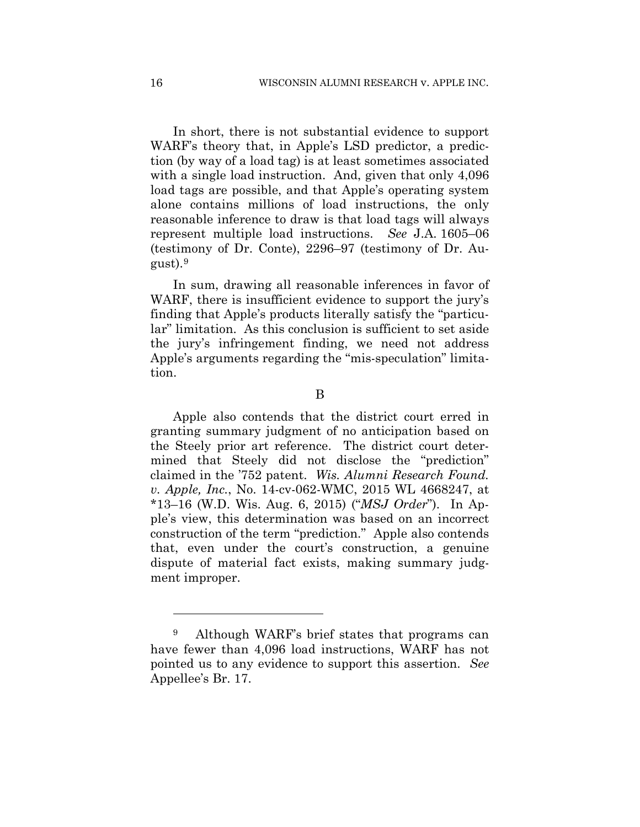In short, there is not substantial evidence to support WARF's theory that, in Apple's LSD predictor, a prediction (by way of a load tag) is at least sometimes associated with a single load instruction. And, given that only 4,096 load tags are possible, and that Apple's operating system alone contains millions of load instructions, the only reasonable inference to draw is that load tags will always represent multiple load instructions. *See* J.A. 1605–06 (testimony of Dr. Conte), 2296–97 (testimony of Dr. August).9

In sum, drawing all reasonable inferences in favor of WARF, there is insufficient evidence to support the jury's finding that Apple's products literally satisfy the "particular" limitation. As this conclusion is sufficient to set aside the jury's infringement finding, we need not address Apple's arguments regarding the "mis-speculation" limitation.

Apple also contends that the district court erred in granting summary judgment of no anticipation based on the Steely prior art reference. The district court determined that Steely did not disclose the "prediction" claimed in the '752 patent. *Wis. Alumni Research Found. v. Apple, Inc.*, No. 14-cv-062-WMC, 2015 WL 4668247, at \*13–16 (W.D. Wis. Aug. 6, 2015) ("*MSJ Order*"). In Apple's view, this determination was based on an incorrect construction of the term "prediction." Apple also contends that, even under the court's construction, a genuine dispute of material fact exists, making summary judgment improper.

<u>.</u>

B

<sup>9</sup> Although WARF's brief states that programs can have fewer than 4,096 load instructions, WARF has not pointed us to any evidence to support this assertion. *See*  Appellee's Br. 17.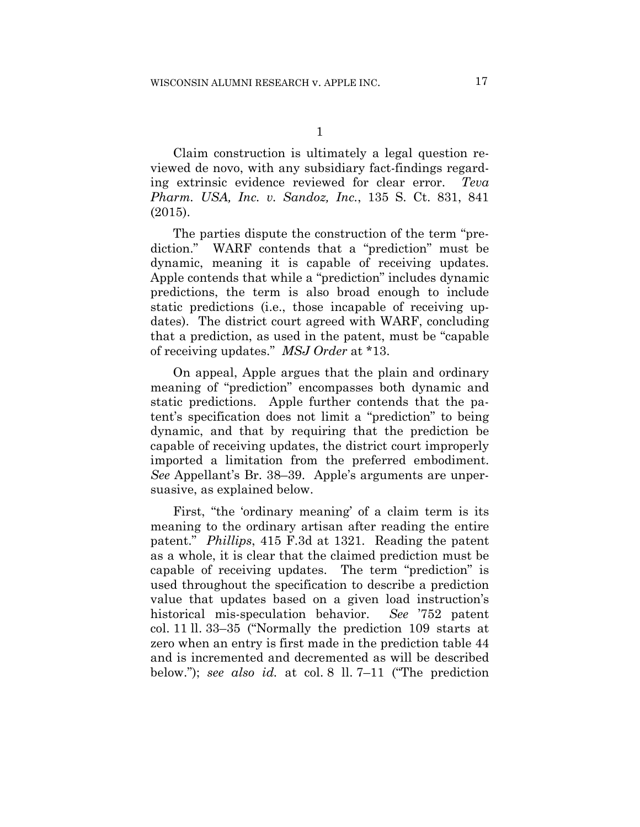Claim construction is ultimately a legal question reviewed de novo, with any subsidiary fact-findings regarding extrinsic evidence reviewed for clear error. *Teva Pharm. USA, Inc. v. Sandoz, Inc.*, 135 S. Ct. 831, 841 (2015).

The parties dispute the construction of the term "prediction." WARF contends that a "prediction" must be dynamic, meaning it is capable of receiving updates. Apple contends that while a "prediction" includes dynamic predictions, the term is also broad enough to include static predictions (i.e., those incapable of receiving updates). The district court agreed with WARF, concluding that a prediction, as used in the patent, must be "capable of receiving updates." *MSJ Order* at \*13.

On appeal, Apple argues that the plain and ordinary meaning of "prediction" encompasses both dynamic and static predictions. Apple further contends that the patent's specification does not limit a "prediction" to being dynamic, and that by requiring that the prediction be capable of receiving updates, the district court improperly imported a limitation from the preferred embodiment. *See* Appellant's Br. 38–39. Apple's arguments are unpersuasive, as explained below.

First, "the 'ordinary meaning' of a claim term is its meaning to the ordinary artisan after reading the entire patent." *Phillips*, 415 F.3d at 1321. Reading the patent as a whole, it is clear that the claimed prediction must be capable of receiving updates. The term "prediction" is used throughout the specification to describe a prediction value that updates based on a given load instruction's historical mis-speculation behavior. *See* '752 patent col. 11 ll. 33–35 ("Normally the prediction 109 starts at zero when an entry is first made in the prediction table 44 and is incremented and decremented as will be described below."); *see also id.* at col. 8 ll. 7–11 ("The prediction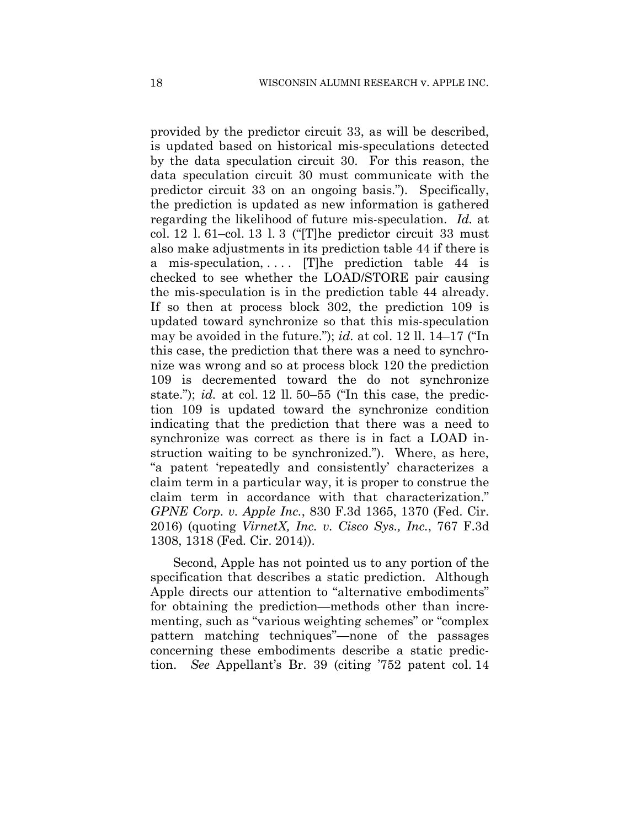provided by the predictor circuit 33, as will be described, is updated based on historical mis-speculations detected by the data speculation circuit 30. For this reason, the data speculation circuit 30 must communicate with the predictor circuit 33 on an ongoing basis."). Specifically, the prediction is updated as new information is gathered regarding the likelihood of future mis-speculation. *Id.* at col. 12 l. 61–col. 13 l. 3 ("[T]he predictor circuit 33 must also make adjustments in its prediction table 44 if there is a mis-speculation,  $\ldots$  The prediction table 44 is checked to see whether the LOAD/STORE pair causing the mis-speculation is in the prediction table 44 already. If so then at process block 302, the prediction 109 is updated toward synchronize so that this mis-speculation may be avoided in the future."); *id.* at col. 12 ll. 14–17 ("In this case, the prediction that there was a need to synchronize was wrong and so at process block 120 the prediction 109 is decremented toward the do not synchronize state."); *id.* at col. 12 ll. 50–55 ("In this case, the prediction 109 is updated toward the synchronize condition indicating that the prediction that there was a need to synchronize was correct as there is in fact a LOAD instruction waiting to be synchronized."). Where, as here, "a patent 'repeatedly and consistently' characterizes a claim term in a particular way, it is proper to construe the claim term in accordance with that characterization." *GPNE Corp. v. Apple Inc.*, 830 F.3d 1365, 1370 (Fed. Cir. 2016) (quoting *VirnetX, Inc. v. Cisco Sys., Inc.*, 767 F.3d 1308, 1318 (Fed. Cir. 2014)).

Second, Apple has not pointed us to any portion of the specification that describes a static prediction. Although Apple directs our attention to "alternative embodiments" for obtaining the prediction—methods other than incrementing, such as "various weighting schemes" or "complex pattern matching techniques"—none of the passages concerning these embodiments describe a static prediction. *See* Appellant's Br. 39 (citing '752 patent col. 14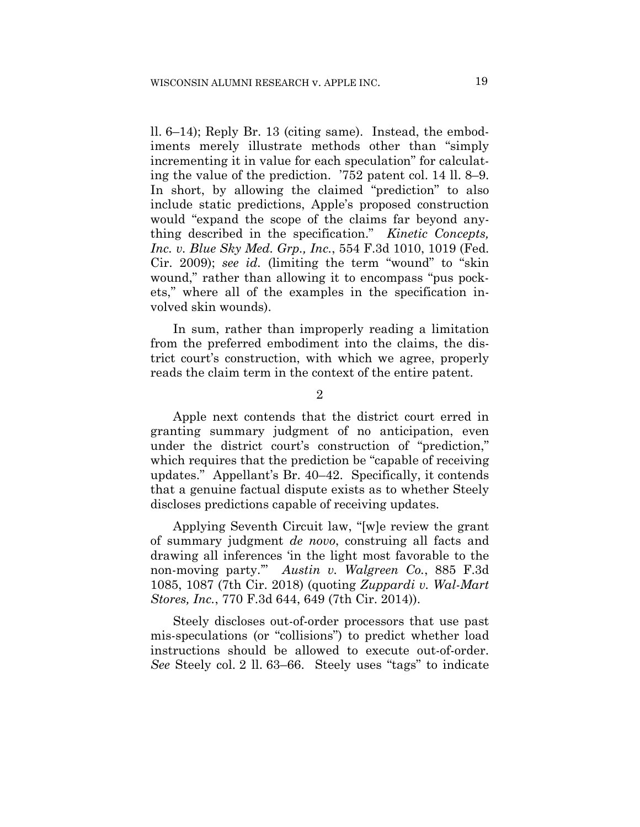ll. 6–14); Reply Br. 13 (citing same). Instead, the embodiments merely illustrate methods other than "simply incrementing it in value for each speculation" for calculating the value of the prediction. '752 patent col. 14 ll. 8–9. In short, by allowing the claimed "prediction" to also include static predictions, Apple's proposed construction would "expand the scope of the claims far beyond anything described in the specification." *Kinetic Concepts, Inc. v. Blue Sky Med. Grp., Inc.*, 554 F.3d 1010, 1019 (Fed. Cir. 2009); *see id.* (limiting the term "wound" to "skin wound," rather than allowing it to encompass "pus pockets," where all of the examples in the specification involved skin wounds).

In sum, rather than improperly reading a limitation from the preferred embodiment into the claims, the district court's construction, with which we agree, properly reads the claim term in the context of the entire patent.

2

Apple next contends that the district court erred in granting summary judgment of no anticipation, even under the district court's construction of "prediction," which requires that the prediction be "capable of receiving updates." Appellant's Br. 40–42. Specifically, it contends that a genuine factual dispute exists as to whether Steely discloses predictions capable of receiving updates.

 Applying Seventh Circuit law, "[w]e review the grant of summary judgment *de novo*, construing all facts and drawing all inferences 'in the light most favorable to the non-moving party.'" *Austin v. Walgreen Co.*, 885 F.3d 1085, 1087 (7th Cir. 2018) (quoting *Zuppardi v. Wal-Mart Stores, Inc.*, 770 F.3d 644, 649 (7th Cir. 2014)).

Steely discloses out-of-order processors that use past mis-speculations (or "collisions") to predict whether load instructions should be allowed to execute out-of-order. *See* Steely col. 2 ll. 63–66. Steely uses "tags" to indicate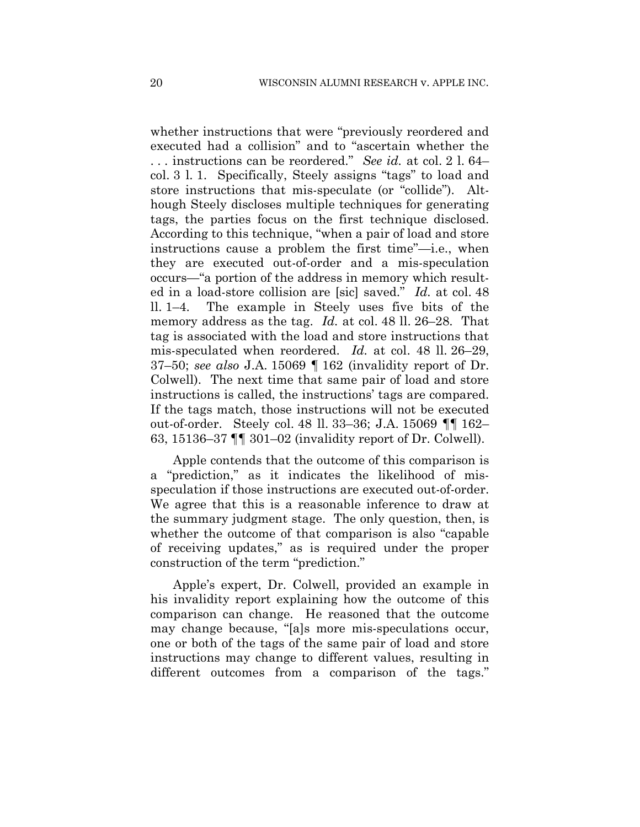whether instructions that were "previously reordered and executed had a collision" and to "ascertain whether the . . . instructions can be reordered." *See id.* at col. 2 l. 64– col. 3 l. 1. Specifically, Steely assigns "tags" to load and store instructions that mis-speculate (or "collide"). Although Steely discloses multiple techniques for generating tags, the parties focus on the first technique disclosed. According to this technique, "when a pair of load and store instructions cause a problem the first time"—i.e., when they are executed out-of-order and a mis-speculation occurs—"a portion of the address in memory which resulted in a load-store collision are [sic] saved." *Id.* at col. 48 ll. 1–4. The example in Steely uses five bits of the memory address as the tag. *Id.* at col. 48 ll. 26–28. That tag is associated with the load and store instructions that mis-speculated when reordered. *Id.* at col. 48 ll. 26–29, 37–50; *see also* J.A. 15069 ¶ 162 (invalidity report of Dr. Colwell). The next time that same pair of load and store instructions is called, the instructions' tags are compared. If the tags match, those instructions will not be executed out-of-order. Steely col. 48 ll. 33–36; J.A. 15069 ¶¶ 162– 63, 15136–37 ¶¶ 301–02 (invalidity report of Dr. Colwell).

Apple contends that the outcome of this comparison is a "prediction," as it indicates the likelihood of misspeculation if those instructions are executed out-of-order. We agree that this is a reasonable inference to draw at the summary judgment stage. The only question, then, is whether the outcome of that comparison is also "capable of receiving updates," as is required under the proper construction of the term "prediction."

Apple's expert, Dr. Colwell, provided an example in his invalidity report explaining how the outcome of this comparison can change. He reasoned that the outcome may change because, "[a]s more mis-speculations occur, one or both of the tags of the same pair of load and store instructions may change to different values, resulting in different outcomes from a comparison of the tags."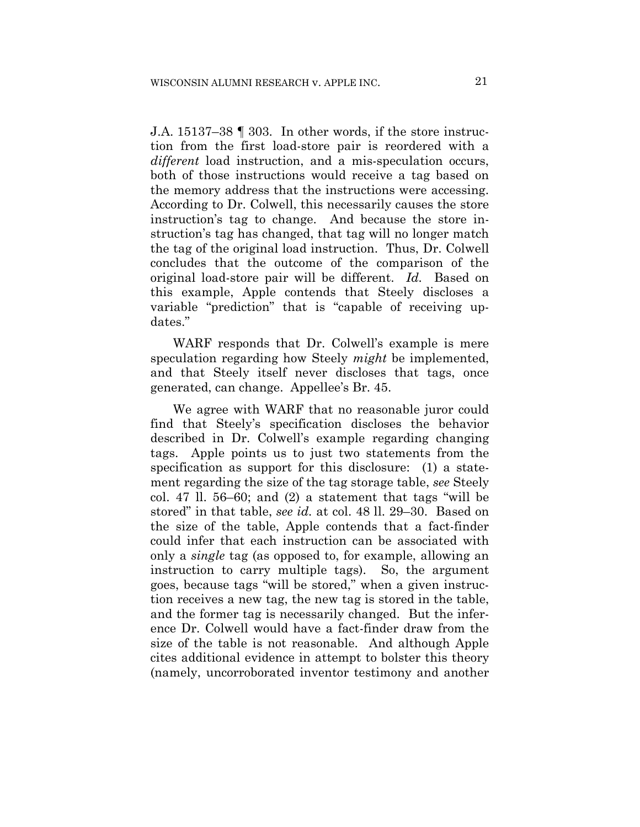J.A. 15137–38 ¶ 303. In other words, if the store instruction from the first load-store pair is reordered with a *different* load instruction, and a mis-speculation occurs, both of those instructions would receive a tag based on the memory address that the instructions were accessing. According to Dr. Colwell, this necessarily causes the store instruction's tag to change. And because the store instruction's tag has changed, that tag will no longer match the tag of the original load instruction. Thus, Dr. Colwell concludes that the outcome of the comparison of the original load-store pair will be different. *Id.* Based on this example, Apple contends that Steely discloses a variable "prediction" that is "capable of receiving updates."

WARF responds that Dr. Colwell's example is mere speculation regarding how Steely *might* be implemented, and that Steely itself never discloses that tags, once generated, can change. Appellee's Br. 45.

We agree with WARF that no reasonable juror could find that Steely's specification discloses the behavior described in Dr. Colwell's example regarding changing tags. Apple points us to just two statements from the specification as support for this disclosure: (1) a statement regarding the size of the tag storage table, *see* Steely col. 47 ll. 56–60; and (2) a statement that tags "will be stored" in that table, *see id.* at col. 48 ll. 29–30. Based on the size of the table, Apple contends that a fact-finder could infer that each instruction can be associated with only a *single* tag (as opposed to, for example, allowing an instruction to carry multiple tags). So, the argument goes, because tags "will be stored," when a given instruction receives a new tag, the new tag is stored in the table, and the former tag is necessarily changed. But the inference Dr. Colwell would have a fact-finder draw from the size of the table is not reasonable. And although Apple cites additional evidence in attempt to bolster this theory (namely, uncorroborated inventor testimony and another